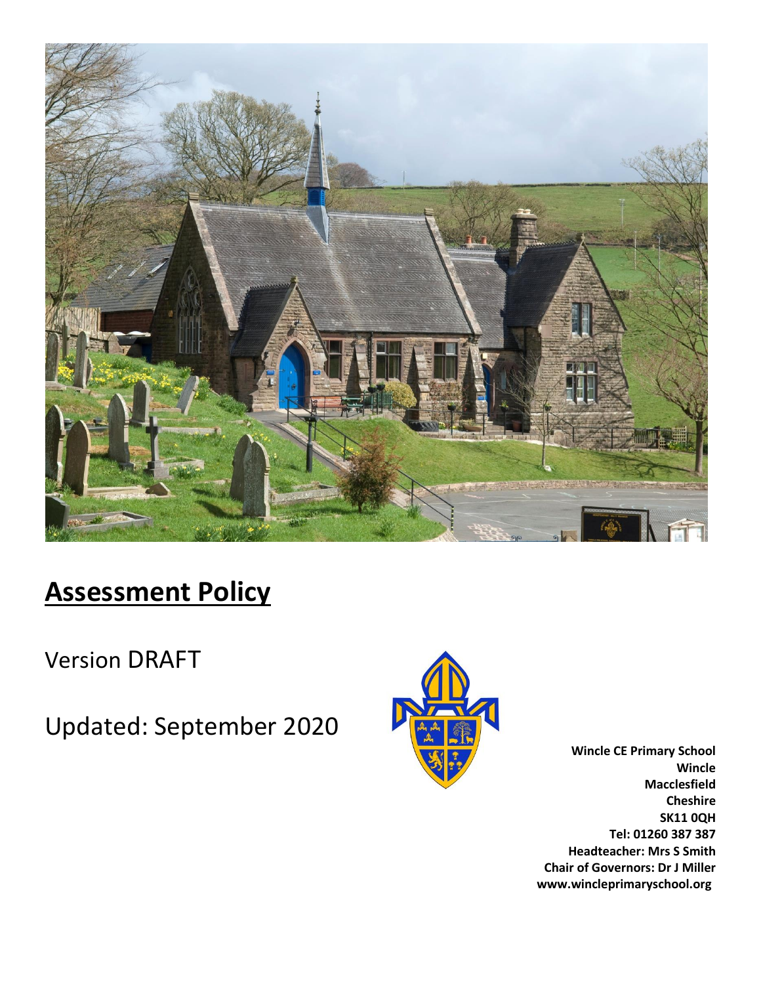

# **Assessment Policy**

Version DRAFT

Updated: September 2020



**Wincle CE Primary School Wincle Macclesfield Cheshire SK11 0QH Tel: 01260 387 387 Headteacher: Mrs S Smith Chair of Governors: Dr J Miller www.wincleprimaryschool.org**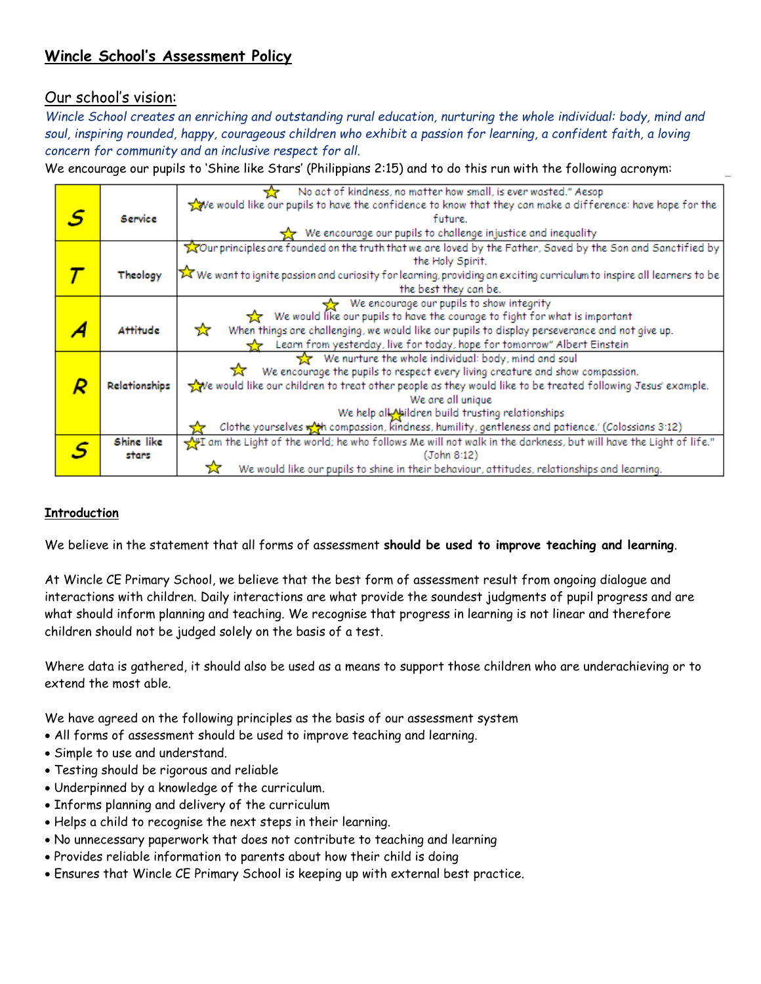# **Wincle School's Assessment Policy**

# Our school's vision:

*Wincle School creates an enriching and outstanding rural education, nurturing the whole individual: body, mind and soul, inspiring rounded, happy, courageous children who exhibit a passion for learning, a confident faith, a loving concern for community and an inclusive respect for all.*

We encourage our pupils to 'Shine like Stars' (Philippians 2:15) and to do this run with the following acronym:

|   |                 | No act of kindness, no matter how small, is ever wasted." Aesop                                                                    |  |  |  |
|---|-----------------|------------------------------------------------------------------------------------------------------------------------------------|--|--|--|
|   |                 | your would like our pupils to have the confidence to know that they can make a difference: have hope for the                       |  |  |  |
| S | Service         | future.                                                                                                                            |  |  |  |
|   |                 | $\frac{1}{22}$ We encourage our pupils to challenge injustice and inequality                                                       |  |  |  |
|   |                 | Tour principles are founded on the truth that we are loved by the Father, Saved by the Son and Sanctified by                       |  |  |  |
|   |                 | the Holy Spirit.                                                                                                                   |  |  |  |
|   | Theology        | X We want to ignite passion and curiosity for learning, providing an exciting curriculum to inspire all learners to be             |  |  |  |
|   |                 | the best they can be.                                                                                                              |  |  |  |
|   |                 | We encourage our pupils to show integrity                                                                                          |  |  |  |
|   |                 | We would like our pupils to have the courage to fight for what is important                                                        |  |  |  |
|   | <b>Attitude</b> | When things are challenging, we would like our pupils to display perseverance and not give up.<br>玄                                |  |  |  |
|   |                 | Learn from yesterday, live for today, hope for tomorrow" Albert Einstein                                                           |  |  |  |
|   |                 | We nurture the whole individual: body, mind and soul                                                                               |  |  |  |
|   |                 | We encourage the pupils to respect every living creature and show compassion.                                                      |  |  |  |
|   | Relationships   | we would like our children to treat other people as they would like to be treated following Jesus' example.                        |  |  |  |
|   |                 | We are all unique                                                                                                                  |  |  |  |
|   |                 | We help all Naildren build trusting relationships                                                                                  |  |  |  |
|   |                 | Clothe yourselves with compassion, kindness, humility, gentleness and patience.' (Colossians 3:12)                                 |  |  |  |
|   | Shine like      | $\frac{1}{\sqrt{2}}$ am the Light of the world; he who follows Me will not walk in the darkness, but will have the Light of life." |  |  |  |
|   | stars           | (John 8:12)                                                                                                                        |  |  |  |
|   |                 | We would like our pupils to shine in their behaviour, attitudes, relationships and learning.                                       |  |  |  |

# **Introduction**

We believe in the statement that all forms of assessment **should be used to improve teaching and learning**.

At Wincle CE Primary School, we believe that the best form of assessment result from ongoing dialogue and interactions with children. Daily interactions are what provide the soundest judgments of pupil progress and are what should inform planning and teaching. We recognise that progress in learning is not linear and therefore children should not be judged solely on the basis of a test.

Where data is gathered, it should also be used as a means to support those children who are underachieving or to extend the most able.

We have agreed on the following principles as the basis of our assessment system

- All forms of assessment should be used to improve teaching and learning.
- Simple to use and understand.
- Testing should be rigorous and reliable
- Underpinned by a knowledge of the curriculum.
- Informs planning and delivery of the curriculum
- Helps a child to recognise the next steps in their learning.
- No unnecessary paperwork that does not contribute to teaching and learning
- Provides reliable information to parents about how their child is doing
- Ensures that Wincle CE Primary School is keeping up with external best practice.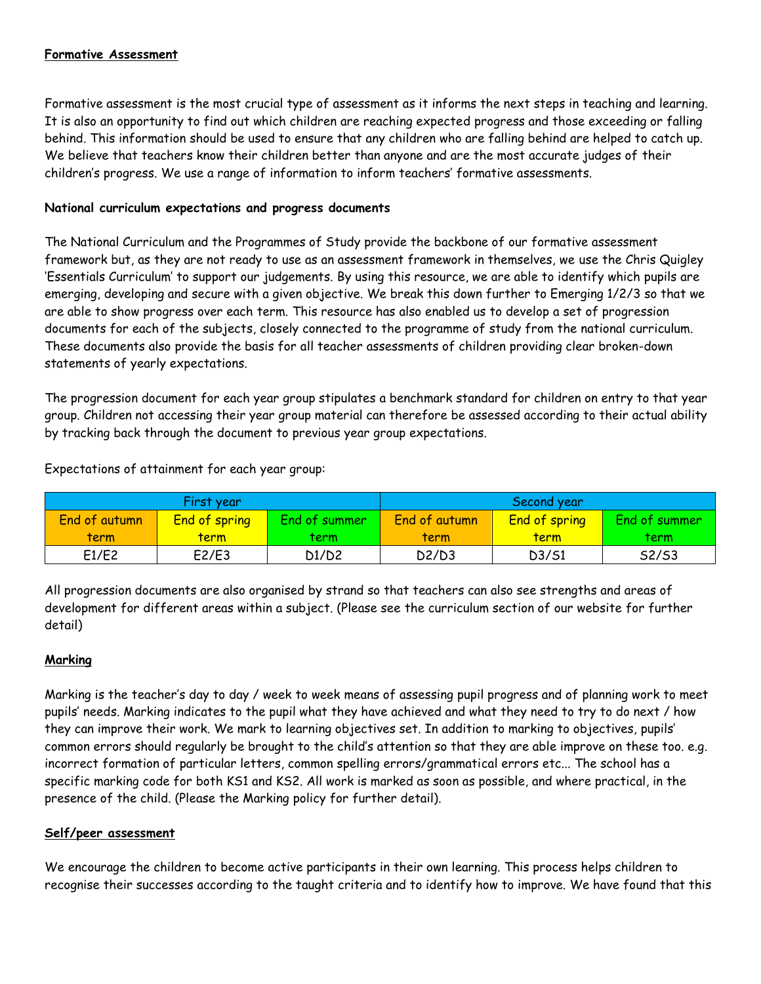# **Formative Assessment**

Formative assessment is the most crucial type of assessment as it informs the next steps in teaching and learning. It is also an opportunity to find out which children are reaching expected progress and those exceeding or falling behind. This information should be used to ensure that any children who are falling behind are helped to catch up. We believe that teachers know their children better than anyone and are the most accurate judges of their children's progress. We use a range of information to inform teachers' formative assessments.

#### **National curriculum expectations and progress documents**

The National Curriculum and the Programmes of Study provide the backbone of our formative assessment framework but, as they are not ready to use as an assessment framework in themselves, we use the Chris Quigley 'Essentials Curriculum' to support our judgements. By using this resource, we are able to identify which pupils are emerging, developing and secure with a given objective. We break this down further to Emerging 1/2/3 so that we are able to show progress over each term. This resource has also enabled us to develop a set of progression documents for each of the subjects, closely connected to the programme of study from the national curriculum. These documents also provide the basis for all teacher assessments of children providing clear broken-down statements of yearly expectations.

The progression document for each year group stipulates a benchmark standard for children on entry to that year group. Children not accessing their year group material can therefore be assessed according to their actual ability by tracking back through the document to previous year group expectations.

|               | First year           |               | Second year   |               |               |
|---------------|----------------------|---------------|---------------|---------------|---------------|
| End of autumn | <b>End of spring</b> | End of summer | End of autumn | End of spring | End of summer |
| term          | term                 | term          | term          | <u>term</u>   | term          |
| E1/E2         | E2/E3                | D1/D2         | D2/D3         | D3/S1         | S2/S3         |

Expectations of attainment for each year group:

All progression documents are also organised by strand so that teachers can also see strengths and areas of development for different areas within a subject. (Please see the curriculum section of our website for further detail)

# **Marking**

Marking is the teacher's day to day / week to week means of assessing pupil progress and of planning work to meet pupils' needs. Marking indicates to the pupil what they have achieved and what they need to try to do next / how they can improve their work. We mark to learning objectives set. In addition to marking to objectives, pupils' common errors should regularly be brought to the child's attention so that they are able improve on these too. e.g. incorrect formation of particular letters, common spelling errors/grammatical errors etc... The school has a specific marking code for both KS1 and KS2. All work is marked as soon as possible, and where practical, in the presence of the child. (Please the Marking policy for further detail).

#### **Self/peer assessment**

We encourage the children to become active participants in their own learning. This process helps children to recognise their successes according to the taught criteria and to identify how to improve. We have found that this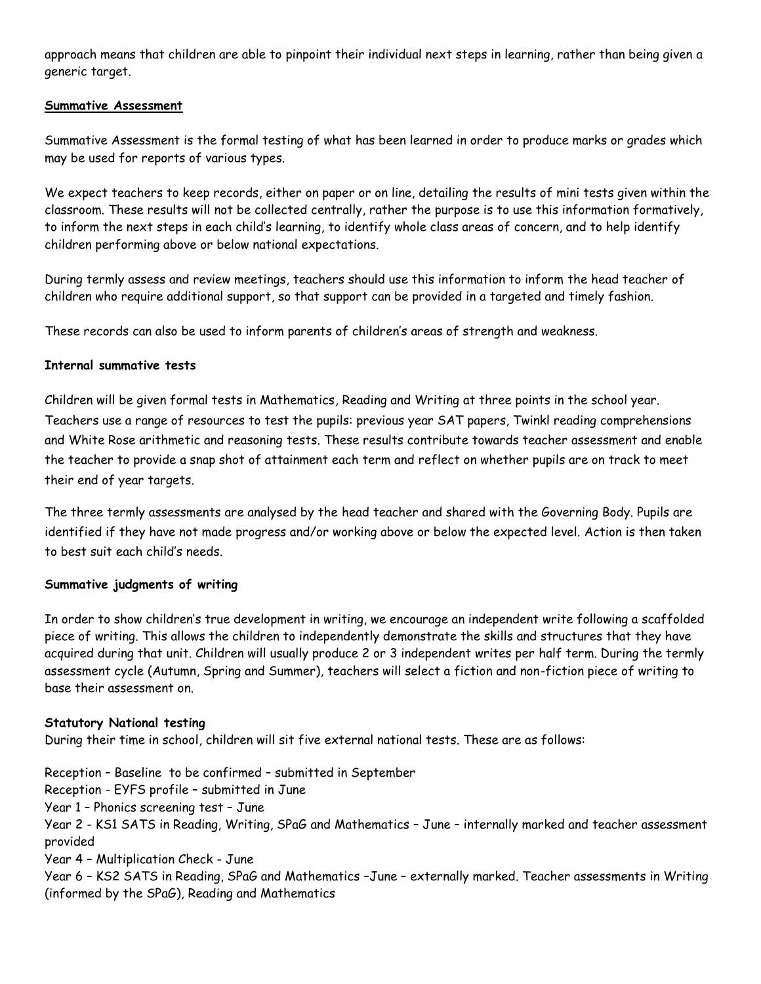approach means that children are able to pinpoint their individual next steps in learning, rather than being given a generic target.

#### **Summative Assessment**

Summative Assessment is the formal testing of what has been learned in order to produce marks or grades which may be used for reports of various types.

We expect teachers to keep records, either on paper or on line, detailing the results of mini tests given within the classroom. These results will not be collected centrally, rather the purpose is to use this information formatively, to inform the next steps in each child's learning, to identify whole class areas of concern, and to help identify children performing above or below national expectations.

During termly assess and review meetings, teachers should use this information to inform the head teacher of children who require additional support, so that support can be provided in a targeted and timely fashion.

These records can also be used to inform parents of children's areas of strength and weakness.

#### **Internal summative tests**

Children will be given formal tests in Mathematics, Reading and Writing at three points in the school year. Teachers use a range of resources to test the pupils: previous year SAT papers, Twinkl reading comprehensions and White Rose arithmetic and reasoning tests. These results contribute towards teacher assessment and enable the teacher to provide a snap shot of attainment each term and reflect on whether pupils are on track to meet their end of year targets.

The three termly assessments are analysed by the head teacher and shared with the Governing Body. Pupils are identified if they have not made progress and/or working above or below the expected level. Action is then taken to best suit each child's needs.

#### **Summative judgments of writing**

In order to show children's true development in writing, we encourage an independent write following a scaffolded piece of writing. This allows the children to independently demonstrate the skills and structures that they have acquired during that unit. Children will usually produce 2 or 3 independent writes per half term. During the termly assessment cycle (Autumn, Spring and Summer), teachers will select a fiction and non-fiction piece of writing to base their assessment on.

#### **Statutory National testing**

During their time in school, children will sit five external national tests. These are as follows:

Reception – Baseline to be confirmed – submitted in September Reception - EYFS profile – submitted in June Year 1 – Phonics screening test – June Year 2 - KS1 SATS in Reading, Writing, SPaG and Mathematics – June – internally marked and teacher assessment provided Year 4 – Multiplication Check - June Year 6 – KS2 SATS in Reading, SPaG and Mathematics –June – externally marked. Teacher assessments in Writing (informed by the SPaG), Reading and Mathematics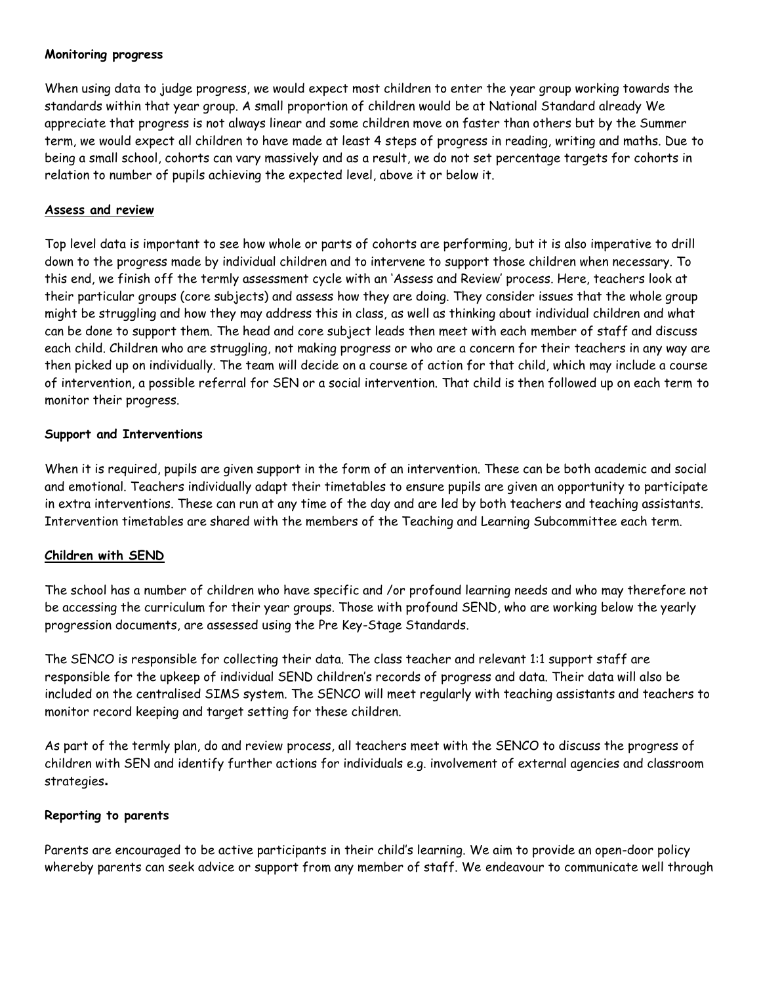#### **Monitoring progress**

When using data to judge progress, we would expect most children to enter the year group working towards the standards within that year group. A small proportion of children would be at National Standard already We appreciate that progress is not always linear and some children move on faster than others but by the Summer term, we would expect all children to have made at least 4 steps of progress in reading, writing and maths. Due to being a small school, cohorts can vary massively and as a result, we do not set percentage targets for cohorts in relation to number of pupils achieving the expected level, above it or below it.

#### **Assess and review**

Top level data is important to see how whole or parts of cohorts are performing, but it is also imperative to drill down to the progress made by individual children and to intervene to support those children when necessary. To this end, we finish off the termly assessment cycle with an 'Assess and Review' process. Here, teachers look at their particular groups (core subjects) and assess how they are doing. They consider issues that the whole group might be struggling and how they may address this in class, as well as thinking about individual children and what can be done to support them. The head and core subject leads then meet with each member of staff and discuss each child. Children who are struggling, not making progress or who are a concern for their teachers in any way are then picked up on individually. The team will decide on a course of action for that child, which may include a course of intervention, a possible referral for SEN or a social intervention. That child is then followed up on each term to monitor their progress.

#### **Support and Interventions**

When it is required, pupils are given support in the form of an intervention. These can be both academic and social and emotional. Teachers individually adapt their timetables to ensure pupils are given an opportunity to participate in extra interventions. These can run at any time of the day and are led by both teachers and teaching assistants. Intervention timetables are shared with the members of the Teaching and Learning Subcommittee each term.

#### **Children with SEND**

The school has a number of children who have specific and /or profound learning needs and who may therefore not be accessing the curriculum for their year groups. Those with profound SEND, who are working below the yearly progression documents, are assessed using the Pre Key-Stage Standards.

The SENCO is responsible for collecting their data. The class teacher and relevant 1:1 support staff are responsible for the upkeep of individual SEND children's records of progress and data. Their data will also be included on the centralised SIMS system. The SENCO will meet regularly with teaching assistants and teachers to monitor record keeping and target setting for these children.

As part of the termly plan, do and review process, all teachers meet with the SENCO to discuss the progress of children with SEN and identify further actions for individuals e.g. involvement of external agencies and classroom strategies**.** 

#### **Reporting to parents**

Parents are encouraged to be active participants in their child's learning. We aim to provide an open-door policy whereby parents can seek advice or support from any member of staff. We endeavour to communicate well through